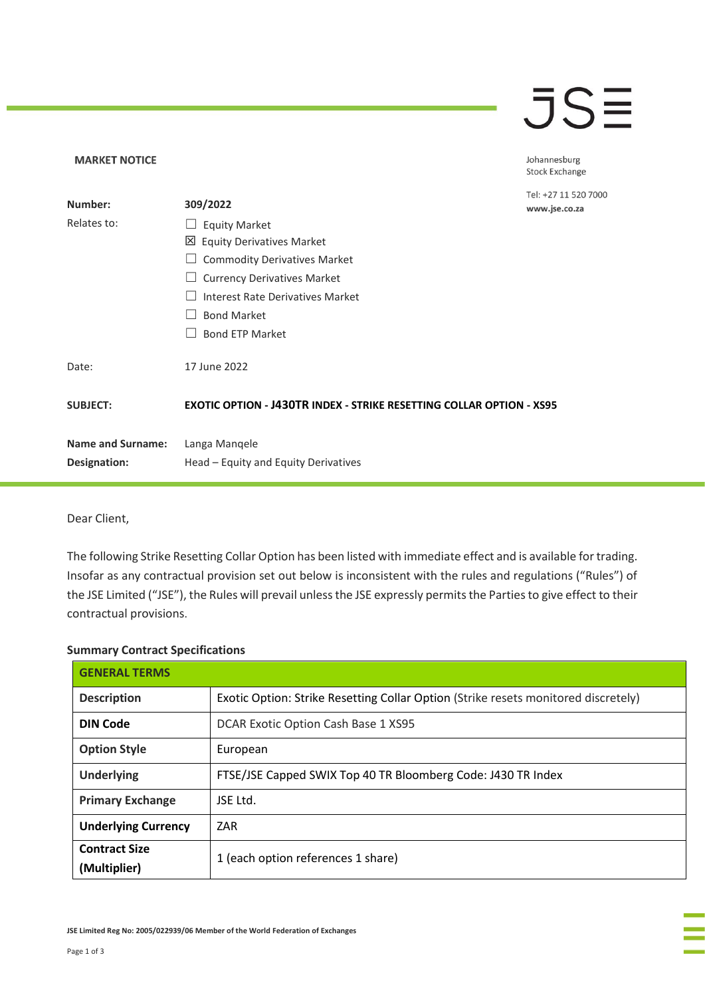## **JSE**

Johannesburg Stock Exchange

0

| Number:                  | 309/2022                                                                    | Tel: +27 11 520 700<br>www.jse.co.za |
|--------------------------|-----------------------------------------------------------------------------|--------------------------------------|
| Relates to:              | <b>Equity Market</b><br>$\overline{\phantom{a}}$                            |                                      |
|                          | 凶 Equity Derivatives Market                                                 |                                      |
|                          | <b>Commodity Derivatives Market</b>                                         |                                      |
|                          | <b>Currency Derivatives Market</b>                                          |                                      |
|                          | Interest Rate Derivatives Market                                            |                                      |
|                          | <b>Bond Market</b>                                                          |                                      |
|                          | <b>Bond ETP Market</b>                                                      |                                      |
| Date:                    | 17 June 2022                                                                |                                      |
| <b>SUBJECT:</b>          | <b>EXOTIC OPTION - J430TR INDEX - STRIKE RESETTING COLLAR OPTION - XS95</b> |                                      |
| <b>Name and Surname:</b> | Langa Manqele                                                               |                                      |
| Designation:             | Head – Equity and Equity Derivatives                                        |                                      |

Dear Client,

**MARKET NOTICE** 

The following Strike Resetting Collar Option has been listed with immediate effect and is available for trading. Insofar as any contractual provision set out below is inconsistent with the rules and regulations ("Rules") of the JSE Limited ("JSE"), the Rules will prevail unless the JSE expressly permits the Parties to give effect to their contractual provisions.

## **Summary Contract Specifications**

| <b>GENERAL TERMS</b>                 |                                                                                    |  |
|--------------------------------------|------------------------------------------------------------------------------------|--|
| <b>Description</b>                   | Exotic Option: Strike Resetting Collar Option (Strike resets monitored discretely) |  |
| <b>DIN Code</b>                      | DCAR Exotic Option Cash Base 1 XS95                                                |  |
| <b>Option Style</b>                  | European                                                                           |  |
| <b>Underlying</b>                    | FTSE/JSE Capped SWIX Top 40 TR Bloomberg Code: J430 TR Index                       |  |
| <b>Primary Exchange</b>              | JSE Ltd.                                                                           |  |
| <b>Underlying Currency</b>           | ZAR                                                                                |  |
| <b>Contract Size</b><br>(Multiplier) | 1 (each option references 1 share)                                                 |  |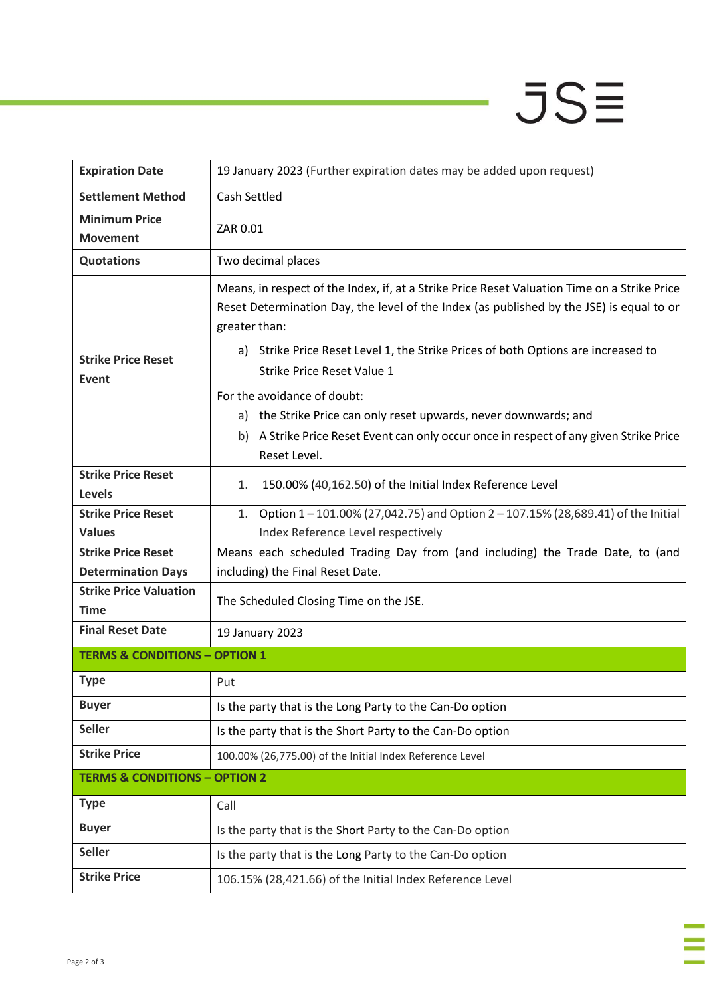## $JSE$

ä

| <b>Expiration Date</b>                                 | 19 January 2023 (Further expiration dates may be added upon request)                                                                                                                                                                                                                                                                   |  |
|--------------------------------------------------------|----------------------------------------------------------------------------------------------------------------------------------------------------------------------------------------------------------------------------------------------------------------------------------------------------------------------------------------|--|
| <b>Settlement Method</b>                               | Cash Settled                                                                                                                                                                                                                                                                                                                           |  |
| <b>Minimum Price</b><br><b>Movement</b>                | ZAR 0.01                                                                                                                                                                                                                                                                                                                               |  |
| <b>Quotations</b>                                      | Two decimal places                                                                                                                                                                                                                                                                                                                     |  |
| <b>Strike Price Reset</b><br>Event                     | Means, in respect of the Index, if, at a Strike Price Reset Valuation Time on a Strike Price<br>Reset Determination Day, the level of the Index (as published by the JSE) is equal to or<br>greater than:<br>Strike Price Reset Level 1, the Strike Prices of both Options are increased to<br>a)<br><b>Strike Price Reset Value 1</b> |  |
|                                                        | For the avoidance of doubt:<br>the Strike Price can only reset upwards, never downwards; and<br>a)<br>A Strike Price Reset Event can only occur once in respect of any given Strike Price<br>b)<br>Reset Level.                                                                                                                        |  |
| <b>Strike Price Reset</b><br>Levels                    | 150.00% (40,162.50) of the Initial Index Reference Level<br>1.                                                                                                                                                                                                                                                                         |  |
| <b>Strike Price Reset</b><br><b>Values</b>             | Option 1-101.00% (27,042.75) and Option 2-107.15% (28,689.41) of the Initial<br>1.<br>Index Reference Level respectively                                                                                                                                                                                                               |  |
| <b>Strike Price Reset</b><br><b>Determination Days</b> | Means each scheduled Trading Day from (and including) the Trade Date, to (and<br>including) the Final Reset Date.                                                                                                                                                                                                                      |  |
| <b>Strike Price Valuation</b><br><b>Time</b>           | The Scheduled Closing Time on the JSE.                                                                                                                                                                                                                                                                                                 |  |
| <b>Final Reset Date</b>                                | 19 January 2023                                                                                                                                                                                                                                                                                                                        |  |
| <b>TERMS &amp; CONDITIONS - OPTION 1</b>               |                                                                                                                                                                                                                                                                                                                                        |  |
| <b>Type</b>                                            | Put                                                                                                                                                                                                                                                                                                                                    |  |
| <b>Buyer</b>                                           | Is the party that is the Long Party to the Can-Do option                                                                                                                                                                                                                                                                               |  |
| <b>Seller</b>                                          | Is the party that is the Short Party to the Can-Do option                                                                                                                                                                                                                                                                              |  |
| <b>Strike Price</b>                                    | 100.00% (26,775.00) of the Initial Index Reference Level                                                                                                                                                                                                                                                                               |  |
| <b>TERMS &amp; CONDITIONS - OPTION 2</b>               |                                                                                                                                                                                                                                                                                                                                        |  |
| <b>Type</b>                                            | Call                                                                                                                                                                                                                                                                                                                                   |  |
| <b>Buyer</b>                                           | Is the party that is the Short Party to the Can-Do option                                                                                                                                                                                                                                                                              |  |
| <b>Seller</b>                                          | Is the party that is the Long Party to the Can-Do option                                                                                                                                                                                                                                                                               |  |
| <b>Strike Price</b>                                    | 106.15% (28,421.66) of the Initial Index Reference Level                                                                                                                                                                                                                                                                               |  |